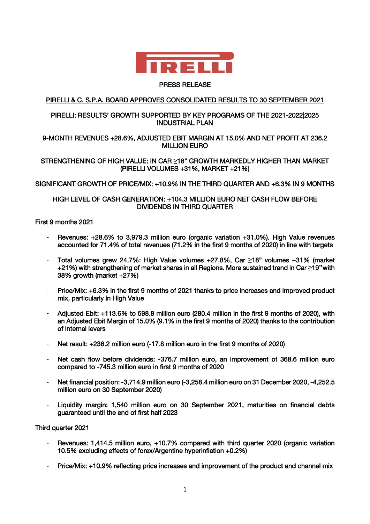

### PRESS RELEASE

# PIRELLI & C. S.P.A. BOARD APPROVES CONSOLIDATED RESULTS TO 30 SEPTEMBER 2021

## PIRELLI: RESULTS' GROWTH SUPPORTED BY KEY PROGRAMS OF THE 2021-2022|2025 INDUSTRIAL PLAN

# 9-MONTH REVENUES +28.6%, ADJUSTED EBIT MARGIN AT 15.0% AND NET PROFIT AT 236.2 MILLION EURO

# STRENGTHENING OF HIGH VALUE: IN CAR **≥**18" GROWTH MARKEDLY HIGHER THAN MARKET (PIRELLI VOLUMES +31%, MARKET +21%)

### SIGNIFICANT GROWTH OF PRICE/MIX: +10.9% IN THE THIRD QUARTER AND +6.3% IN 9 MONTHS

### HIGH LEVEL OF CASH GENERATION: +104.3 MILLION EURO NET CASH FLOW BEFORE DIVIDENDS IN THIRD QUARTER

### First 9 months 2021

- Revenues: +28.6% to 3,979.3 million euro (organic variation +31.0%). High Value revenues accounted for 71.4% of total revenues (71.2% in the first 9 months of 2020) in line with targets
- Total volumes grew 24.7%: High Value volumes +27.8%, Car **≥**18" volumes +31% (market +21%) with strengthening of market shares in all Regions. More sustained trend in Car **≥**19''with 38% growth (market +27%)
- Price/Mix: +6.3% in the first 9 months of 2021 thanks to price increases and improved product mix, particularly in High Value
- Adjusted Ebit: +113.6% to 598.8 million euro (280.4 million in the first 9 months of 2020), with an Adjusted Ebit Margin of 15.0% (9.1% in the first 9 months of 2020) thanks to the contribution of internal levers
- Net result: +236.2 million euro (-17.8 million euro in the first 9 months of 2020)
- Net cash flow before dividends: -376.7 million euro, an improvement of 368.6 million euro compared to -745.3 million euro in first 9 months of 2020
- Net financial position: -3,714.9 million euro (-3,258.4 million euro on 31 December 2020, -4,252.5 million euro on 30 September 2020)
- Liquidity margin: 1,540 million euro on 30 September 2021, maturities on financial debts guaranteed until the end of first half 2023

### Third quarter 2021

- Revenues: 1,414.5 million euro, +10.7% compared with third quarter 2020 (organic variation 10.5% excluding effects of forex/Argentine hyperinflation +0.2%)
- Price/Mix: +10.9% reflecting price increases and improvement of the product and channel mix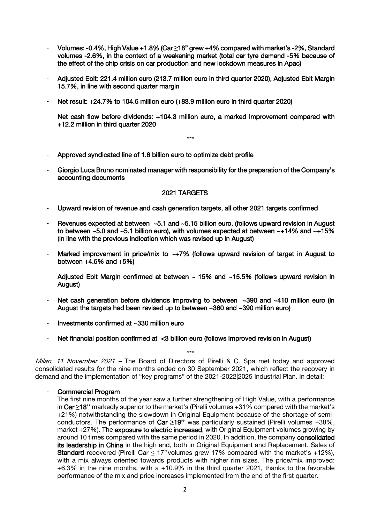- Volumes: -0.4%, High Value +1.8% (Car **≥**18" grew +4% compared with market's -2%, Standard volumes -2.6%, in the context of a weakening market (total car tyre demand -5% because of the effect of the chip crisis on car production and new lockdown measures in Apac)
- Adjusted Ebit: 221.4 million euro (213.7 million euro in third quarter 2020), Adjusted Ebit Margin 15.7%, in line with second quarter margin
- Net result: +24.7% to 104.6 million euro (+83.9 million euro in third quarter 2020)
- Net cash flow before dividends: +104.3 million euro, a marked improvement compared with +12.2 million in third quarter 2020

\*\*\*

- Approved syndicated line of 1.6 billion euro to optimize debt profile
- Giorgio Luca Bruno nominated manager with responsibility for the preparation of the Company's accounting documents

#### 2021 TARGETS

- Upward revision of revenue and cash generation targets, all other 2021 targets confirmed
- Revenues expected at between ~5.1 and ~5.15 billion euro, (follows upward revision in August to between ~5.0 and ~5.1 billion euro), with volumes expected at between ~+14% and ~+15% (in line with the previous indication which was revised up in August)
- Marked improvement in price/mix to  $~+7\%$  (follows upward revision of target in August to between  $+4.5%$  and  $+5%$
- Adjusted Ebit Margin confirmed at between  $\sim$  15% and  $\sim$  15.5% (follows upward revision in August)
- Net cash generation before dividends improving to between  $\sim$ 390 and  $\sim$ 410 million euro (in August the targets had been revised up to between ~360 and ~390 million euro)
- Investments confirmed at ~330 million euro
- Net financial position confirmed at <3 billion euro (follows improved revision in August)

Milan, 11 November 2021 - The Board of Directors of Pirelli & C. Spa met today and approved consolidated results for the nine months ended on 30 September 2021, which reflect the recovery in demand and the implementation of "key programs" of the 2021-2022|2025 Industrial Plan. In detail:

\*\*\*

#### Commercial Program

The first nine months of the year saw a further strengthening of High Value, with a performance in Car **≥**18'' markedly superior to the market's (Pirelli volumes +31% compared with the market's +21%) notwithstanding the slowdown in Original Equipment because of the shortage of semiconductors. The performance of Car **≥**19'' was particularly sustained (Pirelli volumes +38%, market +27%). The exposure to electric increased, with Original Equipment volumes growing by around 10 times compared with the same period in 2020. In addition, the company consolidated its leadership in China in the high end, both in Original Equipment and Replacement. Sales of **Standard** recovered (Pirelli Car  $\leq$  17" volumes grew 17% compared with the market's +12%), with a mix always oriented towards products with higher rim sizes. The price/mix improved:  $+6.3\%$  in the nine months, with a  $+10.9\%$  in the third quarter 2021, thanks to the favorable performance of the mix and price increases implemented from the end of the first quarter.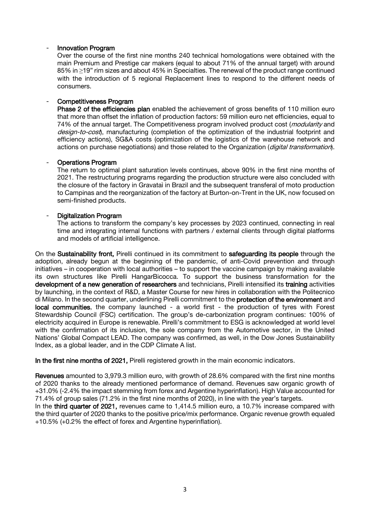#### Innovation Program

Over the course of the first nine months 240 technical homologations were obtained with the main Premium and Prestige car makers (equal to about 71% of the annual target) with around 85% in ≥19" rim sizes and about 45% in Specialties. The renewal of the product range continued with the introduction of 5 regional Replacement lines to respond to the different needs of consumers.

#### Competitiveness Program

Phase 2 of the efficiencies plan enabled the achievement of gross benefits of 110 million euro that more than offset the inflation of production factors: 59 million euro net efficiencies, equal to 74% of the annual target. The Competitiveness program involved product cost (*modularity* and design-to-cost), manufacturing (completion of the optimization of the industrial footprint and efficiency actions), SG&A costs (optimization of the logistics of the warehouse network and actions on purchase negotiations) and those related to the Organization (*digital transformation*).

#### - Operations Program

The return to optimal plant saturation levels continues, above 90% in the first nine months of 2021. The restructuring programs regarding the production structure were also concluded with the closure of the factory in Gravataì in Brazil and the subsequent transferal of moto production to Campinas and the reorganization of the factory at Burton-on-Trent in the UK, now focused on semi-finished products.

#### Digitalization Program

The actions to transform the company's key processes by 2023 continued, connecting in real time and integrating internal functions with partners / external clients through digital platforms and models of artificial intelligence.

On the Sustainability front, Pirelli continued in its commitment to safeguarding its people through the adoption, already begun at the beginning of the pandemic, of anti-Covid prevention and through initiatives – in cooperation with local authorities – to support the vaccine campaign by making available its own structures like Pirelli HangarBicocca. To support the business transformation for the development of a new generation of researchers and technicians, Pirelli intensified its training activities by launching, in the context of R&D, a Master Course for new hires in collaboration with the Politecnico di Milano. In the second quarter, underlining Pirelli commitment to the protection of the environment and local communities, the company launched - a world first - the production of tyres with Forest Stewardship Council (FSC) certification. The group's de-carbonization program continues: 100% of electricity acquired in Europe is renewable. Pirelli's commitment to ESG is acknowledged at world level with the confirmation of its inclusion, the sole company from the Automotive sector, in the United Nations' Global Compact LEAD. The company was confirmed, as well, in the Dow Jones Sustainability Index, as a global leader, and in the CDP Climate A list.

In the first nine months of 2021, Pirelli registered growth in the main economic indicators.

Revenues amounted to 3,979.3 million euro, with growth of 28.6% compared with the first nine months of 2020 thanks to the already mentioned performance of demand. Revenues saw organic growth of +31.0% (-2.4% the impact stemming from forex and Argentine hyperinflation). High Value accounted for 71.4% of group sales (71.2% in the first nine months of 2020), in line with the year's targets.

In the third quarter of 2021, revenues came to 1,414.5 million euro, a 10.7% increase compared with the third quarter of 2020 thanks to the positive price/mix performance. Organic revenue growth equaled +10.5% (+0.2% the effect of forex and Argentine hyperinflation).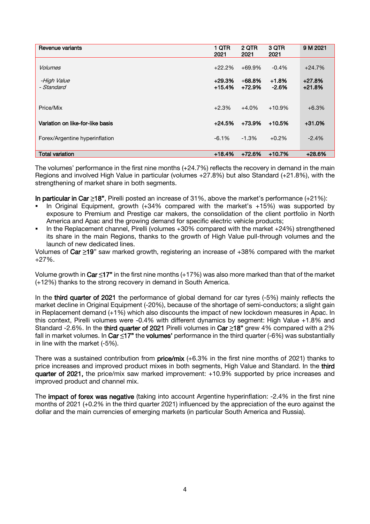| Revenue variants                 | 1 QTR<br>2021        | 2 QTR<br>2021         | 3 QTR<br>2021      | 9 M 2021             |
|----------------------------------|----------------------|-----------------------|--------------------|----------------------|
| <b>Volumes</b>                   | $+22.2%$             | $+69.9%$              | $-0.4%$            | $+24.7%$             |
| -High Value<br>- Standard        | $+29.3%$<br>$+15.4%$ | $+68.8\%$<br>$+72.9%$ | $+1.8%$<br>$-2.6%$ | $+27.8%$<br>$+21.8%$ |
| Price/Mix                        | $+2.3%$              | $+4.0%$               | $+10.9%$           | $+6.3%$              |
| Variation on like-for-like basis | $+24.5%$             | +73.9%                | $+10.5%$           | $+31.0%$             |
| Forex/Argentine hyperinflation   | $-6.1%$              | $-1.3%$               | $+0.2%$            | $-2.4%$              |
| <b>Total variation</b>           | $+18.4%$             | $+72.6%$              | $+10.7%$           | $+28.6%$             |

The volumes' performance in the first nine months (+24.7%) reflects the recovery in demand in the main Regions and involved High Value in particular (volumes +27.8%) but also Standard (+21.8%), with the strengthening of market share in both segments.

In particular in Car **≥**18", Pirelli posted an increase of 31%, above the market's performance (+21%):

- In Original Equipment, growth (+34% compared with the market's +15%) was supported by exposure to Premium and Prestige car makers, the consolidation of the client portfolio in North America and Apac and the growing demand for specific electric vehicle products;
- In the Replacement channel, Pirelli (volumes +30% compared with the market +24%) strengthened its share in the main Regions, thanks to the growth of High Value pull-through volumes and the launch of new dedicated lines.

Volumes of Car **≥**19" saw marked growth, registering an increase of +38% compared with the market +27%.

Volume growth in Car **≤**17" in the first nine months (+17%) was also more marked than that of the market (+12%) thanks to the strong recovery in demand in South America.

In the third quarter of 2021 the performance of global demand for car tyres (-5%) mainly reflects the market decline in Original Equipment (-20%), because of the shortage of semi-conductors; a slight gain in Replacement demand (+1%) which also discounts the impact of new lockdown measures in Apac. In this context, Pirelli volumes were -0.4% with different dynamics by segment: High Value +1.8% and Standard -2.6%. In the third quarter of 2021 Pirelli volumes in Car **≥**18" grew 4% compared with a 2% fall in market volumes. In Car **≤**17" the volumes' performance in the third quarter (-6%) was substantially in line with the market (-5%).

There was a sustained contribution from  $price/mix$  (+6.3% in the first nine months of 2021) thanks to price increases and improved product mixes in both segments, High Value and Standard. In the third quarter of 2021, the price/mix saw marked improvement: +10.9% supported by price increases and improved product and channel mix.

The impact of forex was negative (taking into account Argentine hyperinflation: -2.4% in the first nine months of 2021 (+0.2% in the third quarter 2021) influenced by the appreciation of the euro against the dollar and the main currencies of emerging markets (in particular South America and Russia).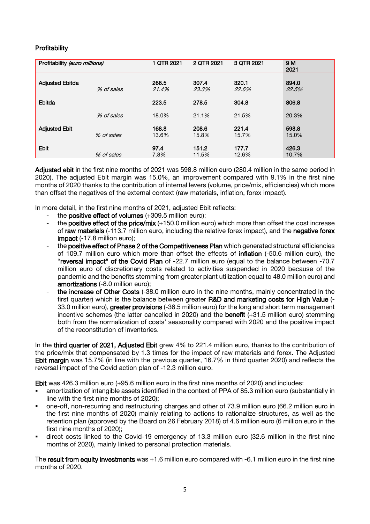# **Profitability**

| Profitability (euro millions) |            | 1 QTR 2021     | 2 QTR 2021     | 3 QTR 2021     | 9 M<br>2021    |
|-------------------------------|------------|----------------|----------------|----------------|----------------|
| <b>Adjusted Ebitda</b>        | % of sales | 266.5<br>21.4% | 307.4<br>23.3% | 320.1<br>22.6% | 894.0<br>22.5% |
| Ebitda                        |            | 223.5          | 278.5          | 304.8          | 806.8          |
|                               | % of sales | 18.0%          | 21.1%          | 21.5%          | 20.3%          |
| <b>Adjusted Ebit</b>          | % of sales | 168.8<br>13.6% | 208.6<br>15.8% | 221.4<br>15.7% | 598.8<br>15.0% |
| Ebit                          | % of sales | 97.4<br>7.8%   | 151.2<br>11.5% | 177.7<br>12.6% | 426.3<br>10.7% |

Adjusted ebit in the first nine months of 2021 was 598.8 million euro (280.4 million in the same period in 2020). The adjusted Ebit margin was 15.0%, an improvement compared with 9.1% in the first nine months of 2020 thanks to the contribution of internal levers (volume, price/mix, efficiencies) which more than offset the negatives of the external context (raw materials, inflation, forex impact).

In more detail, in the first nine months of 2021, adjusted Ebit reflects:

- the positive effect of volumes  $(+309.5$  million euro);
- the **positive effect of the price/mix** (+150.0 million euro) which more than offset the cost increase of raw materials (-113.7 million euro, including the relative forex impact), and the negative forex impact (-17.8 million euro);
- the positive effect of Phase 2 of the Competitiveness Plan which generated structural efficiencies of 109.7 million euro which more than offset the effects of inflation (-50.6 million euro), the "reversal impact" of the Covid Plan of -22.7 million euro (equal to the balance between -70.7 million euro of discretionary costs related to activities suspended in 2020 because of the pandemic and the benefits stemming from greater plant utilization equal to 48.0 million euro) and amortizations (-8.0 million euro);
- the increase of Other Costs (-38.0 million euro in the nine months, mainly concentrated in the first quarter) which is the balance between greater R&D and marketing costs for High Value (- 33.0 million euro), greater provisions (-36.5 million euro) for the long and short term management incentive schemes (the latter cancelled in 2020) and the benefit (+31.5 million euro) stemming both from the normalization of costs' seasonality compared with 2020 and the positive impact of the reconstitution of inventories.

In the third quarter of 2021, Adjusted Ebit grew 4% to 221.4 million euro, thanks to the contribution of the price/mix that compensated by 1.3 times for the impact of raw materials and forex. The Adjusted Ebit margin was 15.7% (in line with the previous quarter, 16.7% in third quarter 2020) and reflects the reversal impact of the Covid action plan of -12.3 million euro.

Ebit was 426.3 million euro (+95.6 million euro in the first nine months of 2020) and includes:

- amortization of intangible assets identified in the context of PPA of 85.3 million euro (substantially in line with the first nine months of 2020);
- one-off, non-recurring and restructuring charges and other of 73.9 million euro (66.2 million euro in the first nine months of 2020) mainly relating to actions to rationalize structures, as well as the retention plan (approved by the Board on 26 February 2018) of 4.6 million euro (6 million euro in the first nine months of 2020);
- direct costs linked to the Covid-19 emergency of 13.3 million euro (32.6 million in the first nine months of 2020), mainly linked to personal protection materials.

The result from equity investments was +1.6 million euro compared with -6.1 million euro in the first nine months of 2020.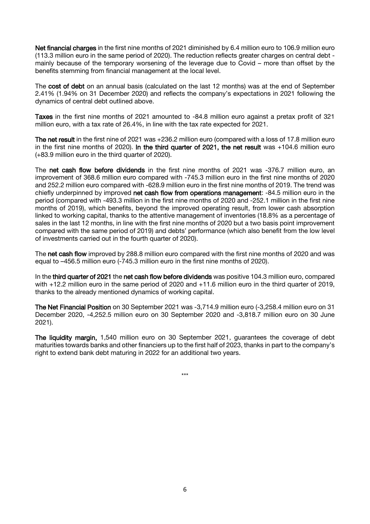Net financial charges in the first nine months of 2021 diminished by 6.4 million euro to 106.9 million euro (113.3 million euro in the same period of 2020). The reduction reflects greater charges on central debt mainly because of the temporary worsening of the leverage due to Covid – more than offset by the benefits stemming from financial management at the local level.

The cost of debt on an annual basis (calculated on the last 12 months) was at the end of September 2.41% (1.94% on 31 December 2020) and reflects the company's expectations in 2021 following the dynamics of central debt outlined above.

Taxes in the first nine months of 2021 amounted to -84.8 million euro against a pretax profit of 321 million euro, with a tax rate of 26.4%, in line with the tax rate expected for 2021.

The net result in the first nine of 2021 was +236.2 million euro (compared with a loss of 17.8 million euro in the first nine months of 2020). In the third quarter of 2021, the net result was +104.6 million euro (+83.9 million euro in the third quarter of 2020).

The net cash flow before dividends in the first nine months of 2021 was -376.7 million euro, an improvement of 368.6 million euro compared with -745.3 million euro in the first nine months of 2020 and 252.2 million euro compared with -628.9 million euro in the first nine months of 2019. The trend was chiefly underpinned by improved net cash flow from operations management: -84.5 million euro in the period (compared with -493.3 million in the first nine months of 2020 and -252.1 million in the first nine months of 2019), which benefits, beyond the improved operating result, from lower cash absorption linked to working capital, thanks to the attentive management of inventories (18.8% as a percentage of sales in the last 12 months, in line with the first nine months of 2020 but a two basis point improvement compared with the same period of 2019) and debts' performance (which also benefit from the low level of investments carried out in the fourth quarter of 2020).

The net cash flow improved by 288.8 million euro compared with the first nine months of 2020 and was equal to –456.5 million euro (-745.3 million euro in the first nine months of 2020).

In the third quarter of 2021 the net cash flow before dividends was positive 104.3 million euro, compared with +12.2 million euro in the same period of 2020 and +11.6 million euro in the third quarter of 2019, thanks to the already mentioned dynamics of working capital.

The Net Financial Position on 30 September 2021 was -3,714.9 million euro (-3,258.4 million euro on 31 December 2020, -4,252.5 million euro on 30 September 2020 and -3,818.7 million euro on 30 June 2021).

The liquidity margin, 1,540 million euro on 30 September 2021, guarantees the coverage of debt maturities towards banks and other financiers up to the first half of 2023, thanks in part to the company's right to extend bank debt maturing in 2022 for an additional two years.

\*\*\*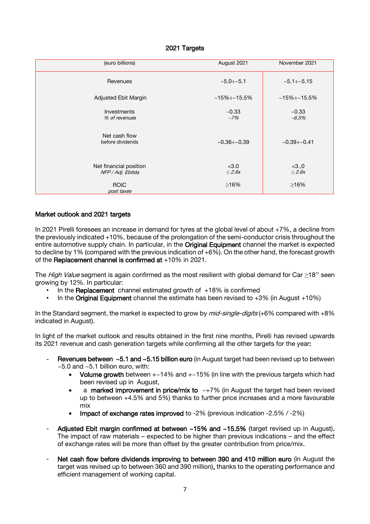### 2021 Targets

| (euro billions)                             | August 2021          | November 2021          |
|---------------------------------------------|----------------------|------------------------|
| Revenues                                    | $~5.0 \div 5.1$      | $~5.1 \div 5.15$       |
| Adjusted Ebit Margin                        | $~15\% \div 15.5\%$  | $~15\% \div 15.5\%$    |
| <b>Investments</b><br>% of revenues         | ~10.33<br>$~17\%$    | ~10.33<br>$~1 - 6.5\%$ |
| Net cash flow<br>before dividends           | $~10.36 \div 0.39$   | $~10.39 \div 0.41$     |
| Net financial position<br>NFP / Adj. Ebitda | < 3.0<br>$\leq$ 2.6x | < 3.0<br>$\leq$ 2.6x   |
| <b>ROIC</b><br>post taxes                   | ≥16%                 | $\geq 16\%$            |

### Market outlook and 2021 targets

In 2021 Pirelli foresees an increase in demand for tyres at the global level of about +7%, a decline from the previously indicated +10%, because of the prolongation of the semi-conductor crisis throughout the entire automotive supply chain. In particular, in the Original Equipment channel the market is expected to decline by 1% (compared with the previous indication of +6%). On the other hand, the forecast growth of the Replacement channel is confirmed at +10% in 2021.

The High Value segment is again confirmed as the most resilient with global demand for Car  $\geq$ 18" seen growing by 12%. In particular:

- In the Replacement channel estimated growth of  $+18%$  is confirmed
- In the Original Equipment channel the estimate has been revised to  $+3\%$  (in August  $+10\%$ )

In the Standard segment, the market is expected to grow by *mid-single-digits* (+6% compared with +8% indicated in August).

In light of the market outlook and results obtained in the first nine months, Pirelli has revised upwards its 2021 revenue and cash generation targets while confirming all the other targets for the year:

- Revenues between  $~5.1$  and  $~5.15$  billion euro (in August target had been revised up to between  $\sim$  5.0 and  $\sim$  5.1 billion euro, with:
	- Volume growth between  $+-14\%$  and  $+-15\%$  (in line with the previous targets which had been revised up in August,
	- a marked improvement in price/mix to  $\sim +7\%$  (in August the target had been revised up to between +4.5% and 5%) thanks to further price increases and a more favourable mix
	- Impact of exchange rates improved to -2% (previous indication -2.5% / -2%)
- Adjusted Ebit margin confirmed at between ~15% and ~15.5% (target revised up in August). The impact of raw materials – expected to be higher than previous indications – and the effect of exchange rates will be more than offset by the greater contribution from price/mix.
- Net cash flow before dividends improving to between 390 and 410 million euro (in August the target was revised up to between 360 and 390 million), thanks to the operating performance and efficient management of working capital.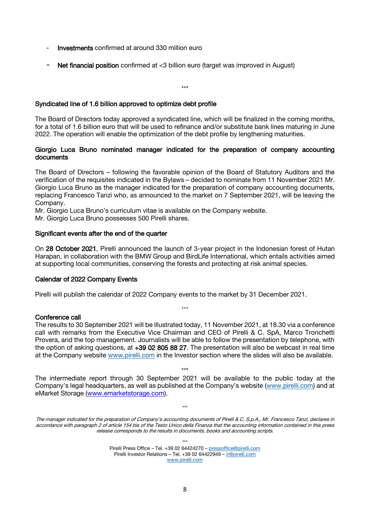- Investments confirmed at around 330 million euro
- Net financial position confirmed at <3 billion euro (target was improved in August)

\*\*\*

### Syndicated line of 1.6 billion approved to optimize debt profile

The Board of Directors today approved a syndicated line, which will be finalized in the coming months, for a total of 1.6 billion euro that will be used to refinance and/or substitute bank lines maturing in June 2022. The operation will enable the optimization of the debt profile by lengthening maturities.

### Giorgio Luca Bruno nominated manager indicated for the preparation of company accounting documents

The Board of Directors – following the favorable opinion of the Board of Statutory Auditors and the verification of the requisites indicated in the Bylaws – decided to nominate from 11 November 2021 Mr. Giorgio Luca Bruno as the manager indicated for the preparation of company accounting documents, replacing Francesco Tanzi who, as announced to the market on 7 September 2021, will be leaving the Company.

Mr. Giorgio Luca Bruno's curriculum vitae is available on the Company website.

Mr. Giorgio Luca Bruno possesses 500 Pirelli shares.

#### Significant events after the end of the quarter

On 28 October 2021, Pirelli announced the launch of 3-year project in the Indonesian forest of Hutan Harapan, in collaboration with the BMW Group and BirdLife International, which entails activities aimed at supporting local communities, conserving the forests and protecting at risk animal species.

#### Calendar of 2022 Company Events

Pirelli will publish the calendar of 2022 Company events to the market by 31 December 2021.

#### Conference call

The results to 30 September 2021 will be illustrated today, 11 November 2021, at 18.30 via a conference call with remarks from the Executive Vice Chairman and CEO of Pirelli & C. SpA, Marco Tronchetti Provera, and the top management. Journalists will be able to follow the presentation by telephone, with the option of asking questions, at +39 02 805 88 27. The presentation will also be webcast in real time at the Company website [www.pirelli.com](http://www.pirelli.com/) in the Investor section where the slides will also be available.

\*\*\*

\*\*\* The intermediate report through 30 September 2021 will be available to the public today at the Company's legal headquarters, as well as published at the Company's website [\(www.pirelli.com\)](http://www.pirelli.com/) and at eMarket Storage [\(www.emarketstorage.com\)](http://www.emarketstorage.com/).

The manager indicated for the preparation of Company's accounting documents of Pirelli & C. S.p.A., Mr. Francesco Tanzi, declares in accordance with paragraph 2 of article 154 bis of the Testo Unico della Finanza that the accounting information contained in this press release corresponds to the results in documents, books and accounting scripts.

\*\*\*

Pirelli Press Office – Tel. +39 02 64424270 – [pressoffice@pirelli.com](mailto:pressoffice@pirelli.com) Pirelli Investor Relations – Tel. +39 02 64422949 – [ir@pirelli.com](mailto:ir@pirelli.com) [www.pirelli.com](http://www.pirelli.com/)

\*\*\*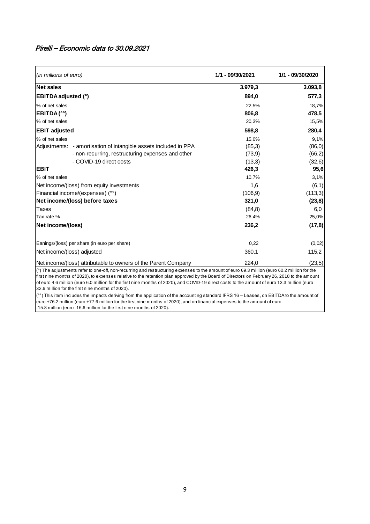# Pirelli – Economic data to 30.09.2021

| (in millions of euro)      |                                                                                                                                                                                                                                                                                                                                                                                                                                                     | 1/1 - 09/30/2021 | 1/1 - 09/30/2020 |
|----------------------------|-----------------------------------------------------------------------------------------------------------------------------------------------------------------------------------------------------------------------------------------------------------------------------------------------------------------------------------------------------------------------------------------------------------------------------------------------------|------------------|------------------|
| <b>Net sales</b>           |                                                                                                                                                                                                                                                                                                                                                                                                                                                     | 3.979,3          | 3.093,8          |
| <b>EBITDA</b> adjusted (°) |                                                                                                                                                                                                                                                                                                                                                                                                                                                     | 894,0            | 577,3            |
| % of net sales             |                                                                                                                                                                                                                                                                                                                                                                                                                                                     | 22,5%            | 18,7%            |
| EBITDA(°°)                 |                                                                                                                                                                                                                                                                                                                                                                                                                                                     | 806,8            | 478,5            |
| % of net sales             |                                                                                                                                                                                                                                                                                                                                                                                                                                                     | 20,3%            | 15,5%            |
| <b>EBIT adjusted</b>       |                                                                                                                                                                                                                                                                                                                                                                                                                                                     | 598,8            | 280,4            |
| % of net sales             |                                                                                                                                                                                                                                                                                                                                                                                                                                                     | 15,0%            | 9,1%             |
| Adjustments:               | - amortisation of intangible assets included in PPA                                                                                                                                                                                                                                                                                                                                                                                                 | (85,3)           | (86, 0)          |
|                            | - non-recurring, restructuring expenses and other                                                                                                                                                                                                                                                                                                                                                                                                   | (73,9)           | (66,2)           |
|                            | - COVID-19 direct costs                                                                                                                                                                                                                                                                                                                                                                                                                             | (13,3)           | (32,6)           |
| <b>EBIT</b>                |                                                                                                                                                                                                                                                                                                                                                                                                                                                     | 426,3            | 95,6             |
| % of net sales             |                                                                                                                                                                                                                                                                                                                                                                                                                                                     | 10,7%            | 3,1%             |
|                            | Net income/(loss) from equity investments                                                                                                                                                                                                                                                                                                                                                                                                           | 1,6              | (6,1)            |
|                            | Financial income/(expenses) (°°)                                                                                                                                                                                                                                                                                                                                                                                                                    | (106.9)          | (113,3)          |
|                            | Net income/(loss) before taxes                                                                                                                                                                                                                                                                                                                                                                                                                      | 321,0            | (23, 8)          |
| Taxes                      |                                                                                                                                                                                                                                                                                                                                                                                                                                                     | (84, 8)          | 6,0              |
| Tax rate %                 |                                                                                                                                                                                                                                                                                                                                                                                                                                                     | 26,4%            | 25,0%            |
| Net income/(loss)          |                                                                                                                                                                                                                                                                                                                                                                                                                                                     | 236,2            | (17, 8)          |
|                            | Eanings/(loss) per share (in euro per share)                                                                                                                                                                                                                                                                                                                                                                                                        | 0,22             | (0,02)           |
|                            | Net income/(loss) adjusted                                                                                                                                                                                                                                                                                                                                                                                                                          | 360,1            | 115,2            |
|                            | [Net income/(loss) attributable to owners of the Parent Company                                                                                                                                                                                                                                                                                                                                                                                     | 224,0            | (23,5)           |
|                            | $(^\circ)$ The adjustments refer to one-off, non-recurring and restructuring expenses to the amount of euro 69.3 million (euro 60.2 million for the<br>first nine months of 2020), to expenses relative to the retention plan approved by the Board of Directors on February 26, 2018 to the amount<br>of euro 4.6 million (euro 6.0 million for the first nine months of 2020), and COVID-19 direct costs to the amount of euro 13.3 million (euro |                  |                  |

32.6 million for the first nine months of 2020).

( $^{\circ\circ}$ ) This item includes the impacts deriving from the application of the accounting standard IFRS 16 – Leases, on EBITDA to the amount of euro +76.2 million (euro +77.6 million for the first nine months of 2020), and on financial expenses to the amount of euro -15.8 million (euro -16.6 million for the first nine months of 2020).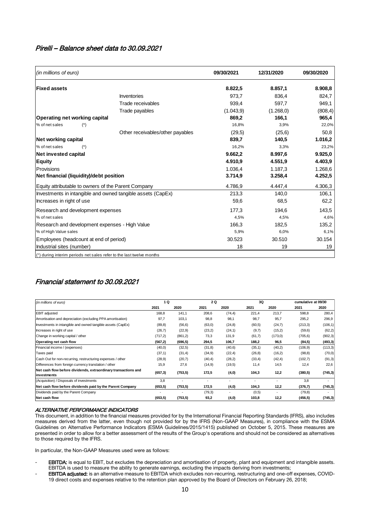# Pirelli – Balance sheet data to 30.09.2021

| Other receivables/other payables<br>Investments in intangible and owned tangible assets (CapEx) |                    |                          | 8.822,5<br>973,7<br>939,4<br>(1.043, 9)<br>869,2<br>16,8%<br>(29,5)<br>839,7<br>16,2%<br>9.662,2<br>4.910,9 |                      | 8.857,1<br>836,4<br>597,7<br>(1.268, 0)<br>166,1<br>3,9%<br>(25, 6)<br>140,5<br>3,3% |                             | 8.908,8<br>824,7<br>949,1<br>(808, 4)<br>965,4<br>22,0% |
|-------------------------------------------------------------------------------------------------|--------------------|--------------------------|-------------------------------------------------------------------------------------------------------------|----------------------|--------------------------------------------------------------------------------------|-----------------------------|---------------------------------------------------------|
|                                                                                                 |                    |                          |                                                                                                             |                      |                                                                                      |                             |                                                         |
|                                                                                                 |                    |                          |                                                                                                             |                      |                                                                                      |                             |                                                         |
|                                                                                                 |                    |                          |                                                                                                             |                      |                                                                                      |                             |                                                         |
|                                                                                                 |                    |                          |                                                                                                             |                      |                                                                                      |                             |                                                         |
|                                                                                                 |                    |                          |                                                                                                             |                      |                                                                                      |                             |                                                         |
|                                                                                                 |                    |                          |                                                                                                             |                      |                                                                                      |                             |                                                         |
|                                                                                                 |                    |                          |                                                                                                             |                      |                                                                                      |                             | 50,8                                                    |
|                                                                                                 |                    |                          |                                                                                                             |                      |                                                                                      |                             | 1.016,2                                                 |
|                                                                                                 |                    |                          |                                                                                                             |                      |                                                                                      |                             | 23,2%                                                   |
|                                                                                                 |                    |                          |                                                                                                             |                      | 8.997,6                                                                              |                             | 9.925,0                                                 |
|                                                                                                 |                    |                          |                                                                                                             |                      |                                                                                      |                             |                                                         |
|                                                                                                 |                    |                          |                                                                                                             |                      | 4.551,9                                                                              |                             | 4.403,9                                                 |
|                                                                                                 |                    |                          | 1.036,4                                                                                                     |                      | 1.187,3                                                                              |                             | 1.268,6                                                 |
|                                                                                                 |                    |                          | 3.714,9                                                                                                     |                      | 3.258,4                                                                              |                             | 4.252,5                                                 |
|                                                                                                 |                    |                          | 4.786,9                                                                                                     |                      | 4.447,4                                                                              |                             | 4.306,3                                                 |
|                                                                                                 |                    |                          | 213,3                                                                                                       |                      | 140,0                                                                                |                             | 106,1                                                   |
|                                                                                                 |                    |                          | 59,6                                                                                                        |                      | 68,5                                                                                 |                             | 62,2                                                    |
|                                                                                                 |                    |                          | 177,3                                                                                                       |                      | 194,6                                                                                |                             | 143,5                                                   |
|                                                                                                 |                    |                          | 4,5%                                                                                                        |                      | 4,5%                                                                                 |                             | 4,6%                                                    |
|                                                                                                 |                    |                          | 166,3                                                                                                       |                      | 182,5                                                                                |                             | 135,2                                                   |
|                                                                                                 |                    |                          |                                                                                                             |                      |                                                                                      |                             | 6,1%                                                    |
|                                                                                                 |                    |                          |                                                                                                             |                      |                                                                                      |                             | 30.154                                                  |
|                                                                                                 |                    |                          |                                                                                                             |                      |                                                                                      |                             |                                                         |
|                                                                                                 |                    |                          |                                                                                                             |                      |                                                                                      |                             | 19                                                      |
|                                                                                                 |                    | 2 Q                      |                                                                                                             |                      |                                                                                      |                             |                                                         |
| 2020                                                                                            |                    |                          |                                                                                                             |                      |                                                                                      |                             |                                                         |
|                                                                                                 |                    | 2021                     | 2020                                                                                                        | 3Q<br>2021           | 2020                                                                                 | cumulative at 09/30<br>2021 | 2020                                                    |
| 168,8                                                                                           | 141,1              | 208,6                    | (74, 4)                                                                                                     | 221,4                | 213,7                                                                                | 598,8                       | 280,4                                                   |
| 97,7                                                                                            | 103,1              | 98,8                     | 98,1                                                                                                        | 98,7                 | 95,7                                                                                 | 295,2                       |                                                         |
| (89, 8)                                                                                         | (56, 6)            | (63, 0)                  | (24, 8)                                                                                                     | (60, 5)              | (24,7)                                                                               | (213, 3)                    |                                                         |
| (26,7)<br>(717,2)                                                                               | (22, 9)<br>(861,2) | (23,2)<br>73,3           | (24,1)<br>131,9                                                                                             | (9,7)<br>(61,7)      | (15,2)<br>(173, 0)                                                                   | (59, 6)<br>(705, 6)         | 296,9<br>(106, 1)<br>(62,2)<br>(902, 3)                 |
| (567,2)                                                                                         | (696, 5)           | 294,5                    | 106,7                                                                                                       | 188,2                | 96,5                                                                                 | (84, 5)                     |                                                         |
| (40, 0)                                                                                         | (32,5)             | (31,8)                   | (40,6)                                                                                                      | (35, 1)              | (40,2)                                                                               | (106, 9)                    | (493, 3)<br>(113, 3)                                    |
| (37,1)                                                                                          | (31,4)             | (34, 9)                  | (22, 4)                                                                                                     | (26, 8)              | (16, 2)                                                                              | (98, 8)                     | (70, 0)                                                 |
| (28, 9)                                                                                         | (20,7)             | (40, 4)                  | (28,2)                                                                                                      | (33, 4)              | (42, 4)                                                                              | (102, 7)                    | (91, 3)                                                 |
| 15,9                                                                                            | 27,6               | (14, 9)                  | (19,5)                                                                                                      | 11,4                 | 14,5                                                                                 | 12,4                        | 22,6                                                    |
| (657, 3)                                                                                        | (753, 5)           | 172,5                    | (4,0)                                                                                                       | 104,3                | 12,2                                                                                 | (380, 5)                    | (745, 3)                                                |
| 3,8                                                                                             |                    | $\overline{\phantom{a}}$ |                                                                                                             |                      | $\omega$                                                                             | 3,8                         |                                                         |
| (653, 5)                                                                                        | (753, 5)           | 172,5<br>(79,3)          | (4, 0)                                                                                                      | 104,3<br>(0,5)       | 12,2                                                                                 | (376, 7)<br>(79, 8)         | (745,3)                                                 |
|                                                                                                 | 1 Q                |                          |                                                                                                             | 5,9%<br>30.523<br>18 |                                                                                      | 6,0%<br>30.510<br>19        |                                                         |

### Financial statement to 30.09.2021

| (in millions of euro)                                                         | 1 Q      |          | 2 Q     |                | 3Q      |                          | cumulative at 09/30 |          |
|-------------------------------------------------------------------------------|----------|----------|---------|----------------|---------|--------------------------|---------------------|----------|
|                                                                               | 2021     | 2020     | 2021    | 2020           | 2021    | 2020                     | 2021                | 2020     |
| <b>EBIT</b> adjusted                                                          | 168,8    | 141,1    | 208,6   | (74, 4)        | 221,4   | 213,7                    | 598,8               | 280,4    |
| Amortisation and depreciation (excluding PPA amortisation)                    | 97,7     | 103,1    | 98,8    | 98,1           | 98,7    | 95,7                     | 295,2               | 296,9    |
| Investments in intangible and owned tangible assets (CapEx)                   | (89, 8)  | (56, 6)  | (63,0)  | (24, 8)        | (60, 5) | (24,7)                   | (213,3)             | (106, 1) |
| Increases in right of use                                                     | (26,7)   | (22, 9)  | (23,2)  | (24,1)         | (9,7)   | (15,2)                   | (59,6)              | (62, 2)  |
| Change in working capital / other                                             | (717,2)  | (861, 2) | 73,3    | 131,9          | (61,7)  | (173,0)                  | (705, 6)            | (902, 3) |
| Operating net cash flow                                                       | (567,2)  | (696, 5) | 294,5   | 106,7          | 188,2   | 96,5                     | (84, 5)             | (493, 3) |
| Financial income / (expenses)                                                 | (40, 0)  | (32,5)   | (31,8)  | (40, 6)        | (35,1)  | (40,2)                   | (106, 9)            | (113, 3) |
| Taxes paid                                                                    | (37,1)   | (31,4)   | (34.9)  | (22, 4)        | (26, 8) | (16, 2)                  | (98, 8)             | (70, 0)  |
| Cash Out for non-recurring, restructuring expenses / other                    | (28.9)   | (20,7)   | (40, 4) | (28,2)         | (33, 4) | (42, 4)                  | (102,7)             | (91,3)   |
| Differences from foreign currency translation / other                         | 15,9     | 27,6     | (14, 9) | (19,5)         | 11,4    | 14,5                     | 12,4                | 22,6     |
| Net cash flow before dividends, extraordinary transactions and<br>investments | (657, 3) | (753, 5) | 172,5   | (4,0)          | 104,3   | 12,2                     | (380, 5)            | (745, 3) |
| (Acquisition) / Disposals of investments                                      | 3.8      |          |         |                |         |                          | 3.8                 |          |
| Net cash flow before dividends paid by the Parent Company                     | (653, 5) | (753, 5) | 172,5   | (4,0)          | 104,3   | 12,2                     | (376, 7)            | (745, 3) |
| Dividends paid by the Parent Company                                          |          |          | (79,3)  | $\overline{a}$ | (0,5)   | $\overline{\phantom{0}}$ | (79, 8)             |          |
| Net cash flow                                                                 | (653, 5) | (753, 5) | 93,2    | (4,0)          | 103,8   | 12,2                     | (456, 5)            | (745, 3) |

#### ALTERNATIVE PERFORMANCE INDICATORS